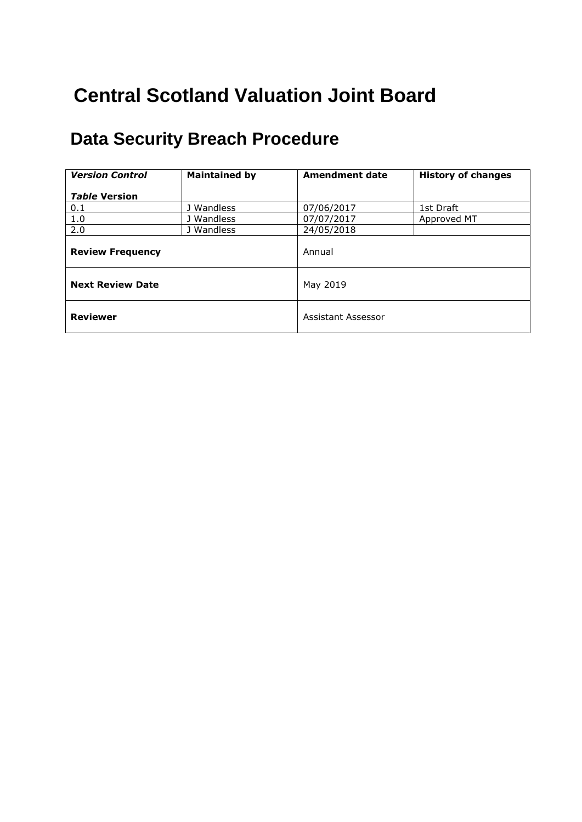# **Central Scotland Valuation Joint Board**

## **Data Security Breach Procedure**

| <b>Version Control</b>  | <b>Maintained by</b> | <b>Amendment date</b> | <b>History of changes</b> |
|-------------------------|----------------------|-----------------------|---------------------------|
| <b>Table Version</b>    |                      |                       |                           |
| 0.1                     | J Wandless           | 07/06/2017            | 1st Draft                 |
| 1.0                     | J Wandless           | 07/07/2017            | Approved MT               |
| 2.0                     | J Wandless           | 24/05/2018            |                           |
| <b>Review Frequency</b> |                      | Annual                |                           |
| <b>Next Review Date</b> |                      | May 2019              |                           |
| <b>Reviewer</b>         |                      | Assistant Assessor    |                           |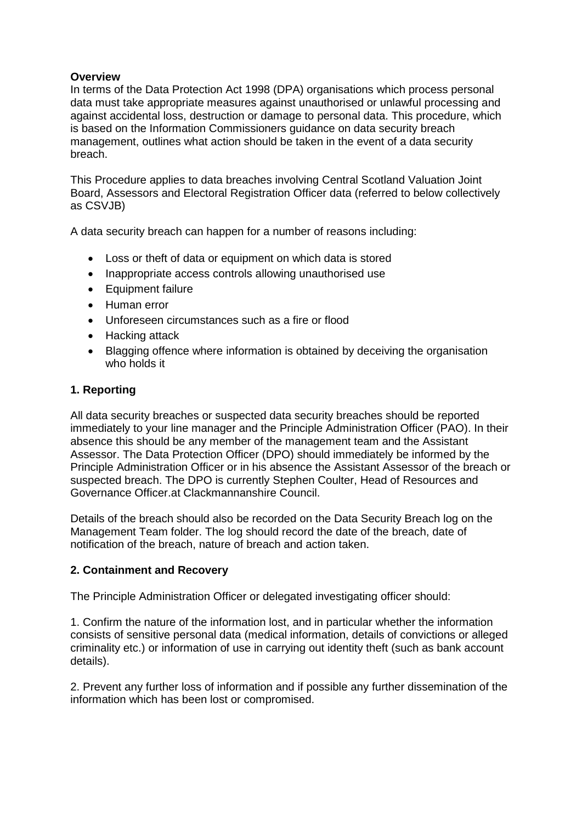## **Overview**

In terms of the Data Protection Act 1998 (DPA) organisations which process personal data must take appropriate measures against unauthorised or unlawful processing and against accidental loss, destruction or damage to personal data. This procedure, which is based on the Information Commissioners guidance on data security breach management, outlines what action should be taken in the event of a data security breach.

This Procedure applies to data breaches involving Central Scotland Valuation Joint Board, Assessors and Electoral Registration Officer data (referred to below collectively as CSVJB)

A data security breach can happen for a number of reasons including:

- Loss or theft of data or equipment on which data is stored
- Inappropriate access controls allowing unauthorised use
- Equipment failure
- Human error
- Unforeseen circumstances such as a fire or flood
- Hacking attack
- Blagging offence where information is obtained by deceiving the organisation who holds it

#### **1. Reporting**

All data security breaches or suspected data security breaches should be reported immediately to your line manager and the Principle Administration Officer (PAO). In their absence this should be any member of the management team and the Assistant Assessor. The Data Protection Officer (DPO) should immediately be informed by the Principle Administration Officer or in his absence the Assistant Assessor of the breach or suspected breach. The DPO is currently Stephen Coulter, Head of Resources and Governance Officer.at Clackmannanshire Council.

Details of the breach should also be recorded on the Data Security Breach log on the Management Team folder. The log should record the date of the breach, date of notification of the breach, nature of breach and action taken.

#### **2. Containment and Recovery**

The Principle Administration Officer or delegated investigating officer should:

1. Confirm the nature of the information lost, and in particular whether the information consists of sensitive personal data (medical information, details of convictions or alleged criminality etc.) or information of use in carrying out identity theft (such as bank account details).

2. Prevent any further loss of information and if possible any further dissemination of the information which has been lost or compromised.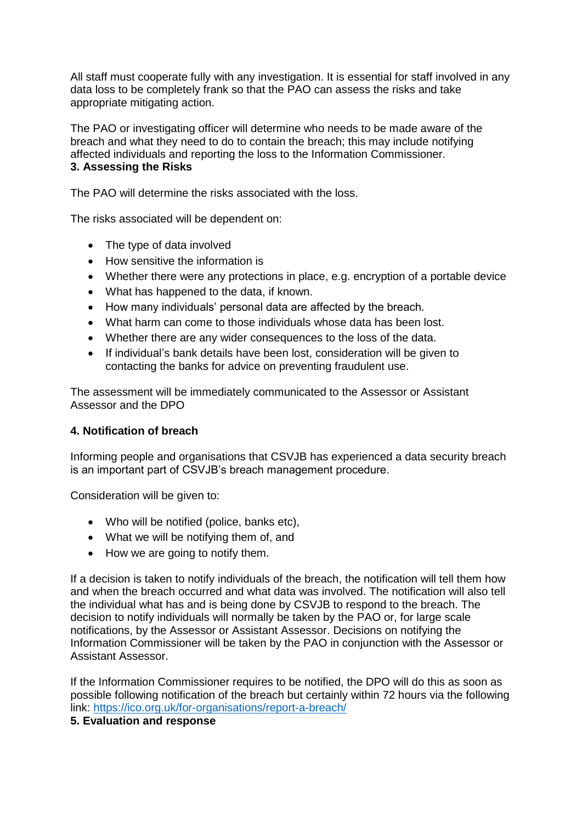All staff must cooperate fully with any investigation. It is essential for staff involved in any data loss to be completely frank so that the PAO can assess the risks and take appropriate mitigating action.

The PAO or investigating officer will determine who needs to be made aware of the breach and what they need to do to contain the breach; this may include notifying affected individuals and reporting the loss to the Information Commissioner. **3. Assessing the Risks** 

The PAO will determine the risks associated with the loss.

The risks associated will be dependent on:

- The type of data involved
- How sensitive the information is
- Whether there were any protections in place, e.g. encryption of a portable device
- What has happened to the data, if known.
- How many individuals' personal data are affected by the breach.
- What harm can come to those individuals whose data has been lost.
- Whether there are any wider consequences to the loss of the data.
- If individual's bank details have been lost, consideration will be given to contacting the banks for advice on preventing fraudulent use.

The assessment will be immediately communicated to the Assessor or Assistant Assessor and the DPO

#### **4. Notification of breach**

Informing people and organisations that CSVJB has experienced a data security breach is an important part of CSVJB's breach management procedure.

Consideration will be given to:

- Who will be notified (police, banks etc),
- What we will be notifying them of, and
- How we are going to notify them.

If a decision is taken to notify individuals of the breach, the notification will tell them how and when the breach occurred and what data was involved. The notification will also tell the individual what has and is being done by CSVJB to respond to the breach. The decision to notify individuals will normally be taken by the PAO or, for large scale notifications, by the Assessor or Assistant Assessor. Decisions on notifying the Information Commissioner will be taken by the PAO in conjunction with the Assessor or Assistant Assessor.

If the Information Commissioner requires to be notified, the DPO will do this as soon as possible following notification of the breach but certainly within 72 hours via the following link:<https://ico.org.uk/for-organisations/report-a-breach/>

### **5. Evaluation and response**